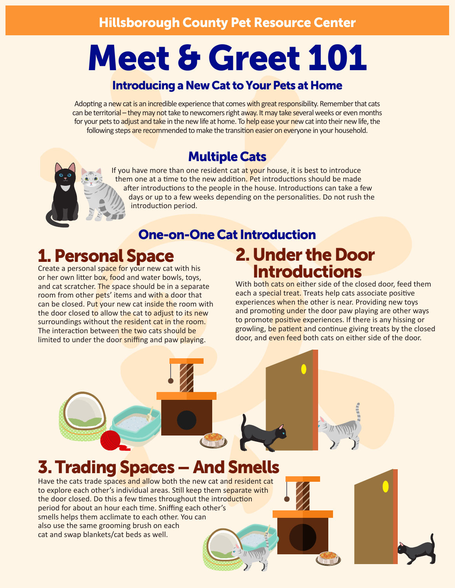# Meet & Greet 101

#### Introducing a New Cat to Your Pets at Home

Adopting a new cat is an incredible experience that comes with great responsibility. Remember that cats can be territorial – they may not take to newcomers right away. It may take several weeks or even months for your pets to adjust and take in the new life at home. To help ease your new cat into their new life, the following steps are recommended to make the transition easier on everyone in your household.

#### Multiple Cats

If you have more than one resident cat at your house, it is best to introduce them one at a time to the new addition. Pet introductions should be made after introductions to the people in the house. Introductions can take a few days or up to a few weeks depending on the personalities. Do not rush the introduction period.

#### One-on-One Cat Introduction

## 1. Personal Space

Create a personal space for your new cat with his or her own litter box, food and water bowls, toys, and cat scratcher. The space should be in a separate room from other pets' items and with a door that can be closed. Put your new cat inside the room with the door closed to allow the cat to adjust to its new surroundings without the resident cat in the room. The interaction between the two cats should be limited to under the door sniffing and paw playing.

## 2. Under the Door **Introductions**

With both cats on either side of the closed door, feed them each a special treat. Treats help cats associate positive experiences when the other is near. Providing new toys and promoting under the door paw playing are other ways to promote positive experiences. If there is any hissing or growling, be patient and continue giving treats by the closed door, and even feed both cats on either side of the door.

## 3. Trading Spaces – And Smells

Have the cats trade spaces and allow both the new cat and resident cat to explore each other's individual areas. Still keep them separate with the door closed. Do this a few times throughout the introduction period for about an hour each time. Sniffing each other's smells helps them acclimate to each other. You can also use the same grooming brush on each cat and swap blankets/cat beds as well.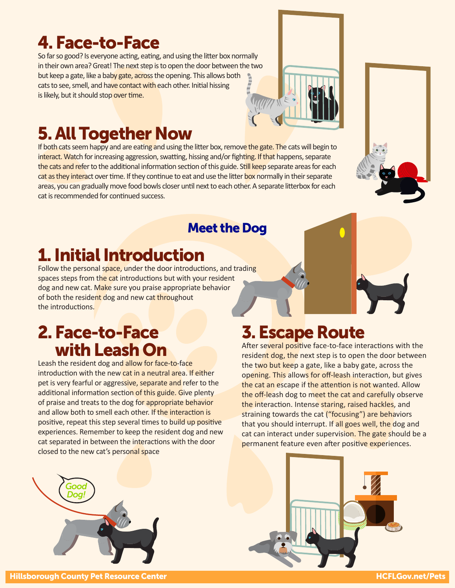## 4. Face-to-Face

So far so good? Is everyone acting, eating, and using the litter box normally in their own area? Great! The next step is to open the door between the two but keep a gate, like a baby gate, across the opening. This allows both cats to see, smell, and have contact with each other. Initial hissing is likely, but it should stop over time.

## 5. All Together Now

If both cats seem happy and are eating and using the litter box, remove the gate. The cats will begin to interact. Watch for increasing aggression, swatting, hissing and/or fighting. If that happens, separate the cats and refer to the additional information section of this guide. Still keep separate areas for each cat as they interact over time. If they continue to eat and use the litter box normally in their separate areas, you can gradually move food bowls closer until next to each other. A separate litterbox for each cat is recommended for continued success.

#### Meet the Dog

## 1. Initial Introduction

Follow the personal space, under the door introductions, and trading spaces steps from the cat introductions but with your resident dog and new cat. Make sure you praise appropriate behavior of both the resident dog and new cat throughout the introductions.

## 2. Face-to-Face with Leash On

Leash the resident dog and allow for face-to-face introduction with the new cat in a neutral area. If either pet is very fearful or aggressive, separate and refer to the additional information section of this guide. Give plenty of praise and treats to the dog for appropriate behavior and allow both to smell each other. If the interaction is positive, repeat this step several times to build up positive experiences. Remember to keep the resident dog and new cat separated in between the interactions with the door closed to the new cat's personal space

## 3. Escape Route

After several positive face-to-face interactions with the resident dog, the next step is to open the door between the two but keep a gate, like a baby gate, across the opening. This allows for off-leash interaction, but gives the cat an escape if the attention is not wanted. Allow the off-leash dog to meet the cat and carefully observe the interaction. Intense staring, raised hackles, and straining towards the cat ("focusing") are behaviors that you should interrupt. If all goes well, the dog and cat can interact under supervision. The gate should be a permanent feature even after positive experiences.

*Good Dog!*